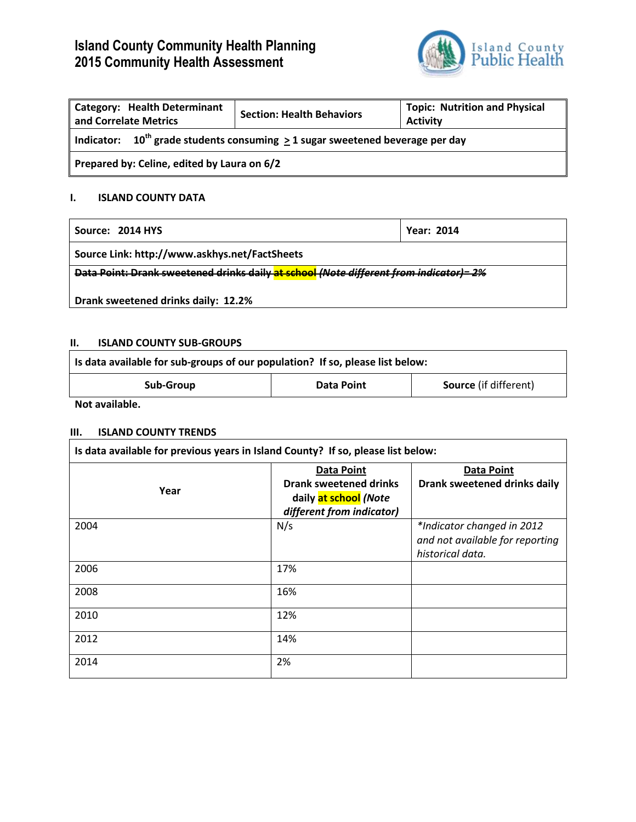# **Island County Community Health Planning 2015 Community Health Assessment**



| <b>Category: Health Determinant</b><br>and Correlate Metrics                            | <b>Section: Health Behaviors</b> | <b>Topic: Nutrition and Physical</b><br><b>Activity</b> |
|-----------------------------------------------------------------------------------------|----------------------------------|---------------------------------------------------------|
| Indicator: $10^{th}$ grade students consuming $\geq 1$ sugar sweetened beverage per day |                                  |                                                         |
| Prepared by: Celine, edited by Laura on 6/2                                             |                                  |                                                         |

# **I. ISLAND COUNTY DATA**

| Source: 2014 HYS                                                                       | Year: 2014 |
|----------------------------------------------------------------------------------------|------------|
| Source Link: http://www.askhys.net/FactSheets                                          |            |
| Data Point: Drank sweetened drinks daily at school (Note different from indicator)= 2% |            |
| Drank sweetened drinks daily: 12.2%                                                    |            |

### **II. ISLAND COUNTY SUB-GROUPS**

| Is data available for sub-groups of our population? If so, please list below: |            |                              |
|-------------------------------------------------------------------------------|------------|------------------------------|
| Sub-Group                                                                     | Data Point | <b>Source</b> (if different) |

**Not available.**

#### **III. ISLAND COUNTY TRENDS**

| Is data available for previous years in Island County? If so, please list below: |                                                                                                          |                                                                                   |
|----------------------------------------------------------------------------------|----------------------------------------------------------------------------------------------------------|-----------------------------------------------------------------------------------|
| Year                                                                             | <b>Data Point</b><br><b>Drank sweetened drinks</b><br>daily at school (Note<br>different from indicator) | <b>Data Point</b><br>Drank sweetened drinks daily                                 |
| 2004                                                                             | N/s                                                                                                      | *Indicator changed in 2012<br>and not available for reporting<br>historical data. |
| 2006                                                                             | 17%                                                                                                      |                                                                                   |
| 2008                                                                             | 16%                                                                                                      |                                                                                   |
| 2010                                                                             | 12%                                                                                                      |                                                                                   |
| 2012                                                                             | 14%                                                                                                      |                                                                                   |
| 2014                                                                             | 2%                                                                                                       |                                                                                   |